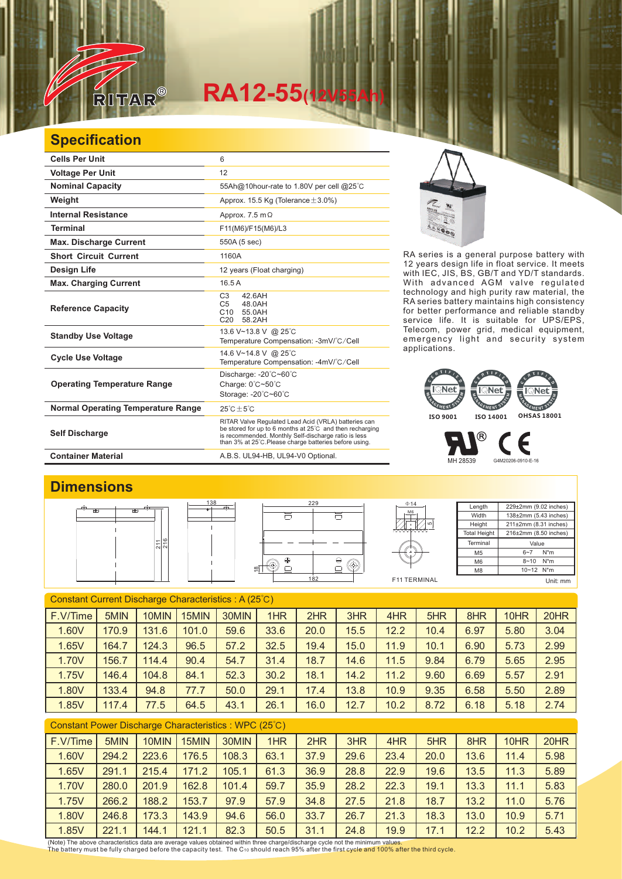

# **RA12-55(12V55Ah)**

#### **Specification**

| <b>Cells Per Unit</b>                     | 6                                                                                                                                                                                                                                  |
|-------------------------------------------|------------------------------------------------------------------------------------------------------------------------------------------------------------------------------------------------------------------------------------|
| <b>Voltage Per Unit</b>                   | 12                                                                                                                                                                                                                                 |
| <b>Nominal Capacity</b>                   | 55Ah@10hour-rate to 1.80V per cell @25°C                                                                                                                                                                                           |
| Weight                                    | Approx. 15.5 Kg (Tolerance $\pm$ 3.0%)                                                                                                                                                                                             |
| <b>Internal Resistance</b>                | Approx. $7.5 \text{ m}\Omega$                                                                                                                                                                                                      |
| <b>Terminal</b>                           | F11(M6)/F15(M6)/L3                                                                                                                                                                                                                 |
| <b>Max. Discharge Current</b>             | 550A (5 sec)                                                                                                                                                                                                                       |
| <b>Short Circuit Current</b>              | 1160A                                                                                                                                                                                                                              |
| Design Life                               | 12 years (Float charging)                                                                                                                                                                                                          |
| <b>Max. Charging Current</b>              | 16.5A                                                                                                                                                                                                                              |
| <b>Reference Capacity</b>                 | C <sub>3</sub><br>42.6AH<br>48.0AH<br>C <sub>5</sub><br>C10 55.0AH<br>C <sub>20</sub><br>58.2AH                                                                                                                                    |
| <b>Standby Use Voltage</b>                | 13.6 V~13.8 V @ 25°C<br>Temperature Compensation: -3mV/°C/Cell                                                                                                                                                                     |
| <b>Cycle Use Voltage</b>                  | 14.6 V~14.8 V @ 25°C<br>Temperature Compensation: -4mV/°C/Cell                                                                                                                                                                     |
| <b>Operating Temperature Range</b>        | Discharge: - 20°C~60°C<br>Charge: 0°C~50°C<br>Storage: -20°C~60°C                                                                                                                                                                  |
| <b>Normal Operating Temperature Range</b> | $25^{\circ}$ C + 5 $^{\circ}$ C                                                                                                                                                                                                    |
| <b>Self Discharge</b>                     | RITAR Valve Regulated Lead Acid (VRLA) batteries can<br>be stored for up to 6 months at 25°C and then recharging<br>is recommended. Monthly Self-discharge ratio is less<br>than 3% at 25°C. Please charge batteries before using. |
| <b>Container Material</b>                 | A.B.S. UL94-HB, UL94-V0 Optional.                                                                                                                                                                                                  |



RA series is a general purpose battery with 12 years design life in float service. It meets with IEC, JIS, BS, GB/T and YD/T standards. With advanced AGM valve regulated technology and high purity raw material, the RA series battery maintains high consistency for better performance and reliable standby service life. It is suitable for UPS/EPS, Telecom, power grid, medical equipment, emergency light and security system applications.



MH 28539 G4M20206-0910-E-16

### **Dimensions**







Length **Width** Height Total Height 229±2mm (9.02 inches) 138±2mm (5.43 inches) 211±2mm (8.31 inches) 216±2mm (8.50 inches) Terminal M<sub>5</sub> M6  $\overline{M8}$ Value 6~7 N\*m  $8 - 10$  N<sup>\*</sup>m 10~12 N\*m

Є

| a. |  |
|----|--|
| ۰. |  |
|    |  |

| Constant Current Discharge Characteristics: A (25°C) |       |       |       |       |      |      |      |      |      |      |      |      |
|------------------------------------------------------|-------|-------|-------|-------|------|------|------|------|------|------|------|------|
| F.V/Time                                             | 5MIN  | 10MIN | 15MIN | 30MIN | 1HR  | 2HR  | 3HR  | 4HR  | 5HR  | 8HR  | 10HR | 20HR |
| 1.60V                                                | 170.9 | 131.6 | 101.0 | 59.6  | 33.6 | 20.0 | 15.5 | 12.2 | 10.4 | 6.97 | 5.80 | 3.04 |
| 1.65V                                                | 164.7 | 124.3 | 96.5  | 57.2  | 32.5 | 19.4 | 15.0 | 11.9 | 10.1 | 6.90 | 5.73 | 2.99 |
| 1.70V                                                | 156.7 | 114.4 | 90.4  | 54.7  | 31.4 | 18.7 | 14.6 | 11.5 | 9.84 | 6.79 | 5.65 | 2.95 |
| 1.75V                                                | 146.4 | 104.8 | 84.1  | 52.3  | 30.2 | 18.1 | 14.2 | 11.2 | 9.60 | 6.69 | 5.57 | 2.91 |
| 1.80V                                                | 133.4 | 94.8  | 77.7  | 50.0  | 29.1 | 17.4 | 13.8 | 10.9 | 9.35 | 6.58 | 5.50 | 2.89 |
| 1.85V                                                | 117.4 | 77.5  | 64.5  | 43.1  | 26.1 | 16.0 | 12.7 | 10.2 | 8.72 | 6.18 | 5.18 | 2.74 |

#### Constant Power Discharge Characteristics : WPC (25℃)

| F.V/Time | 5MIN  | 10MIN | 15MIN | 30MIN | 1HR  | 2HR  | 3HR  | 4HR  | 5HR  | 8HR  | 10HR | 20HR |
|----------|-------|-------|-------|-------|------|------|------|------|------|------|------|------|
| 1.60V    | 294.2 | 223.6 | 176.5 | 108.3 | 63.1 | 37.9 | 29.6 | 23.4 | 20.0 | 13.6 | 11.4 | 5.98 |
| 1.65V    | 291.1 | 215.4 | 171.2 | 105.1 | 61.3 | 36.9 | 28.8 | 22.9 | 19.6 | 13.5 | 11.3 | 5.89 |
| 1.70V    | 280.0 | 201.9 | 162.8 | 101.4 | 59.7 | 35.9 | 28.2 | 22.3 | 19.1 | 13.3 | 11.1 | 5.83 |
| 1.75V    | 266.2 | 188.2 | 153.7 | 97.9  | 57.9 | 34.8 | 27.5 | 21.8 | 18.7 | 13.2 | 11.0 | 5.76 |
| 1.80V    | 246.8 | 173.3 | 143.9 | 94.6  | 56.0 | 33.7 | 26.7 | 21.3 | 18.3 | 13.0 | 10.9 | 5.71 |
| 1.85V    | 221.1 | 144.1 | 121.1 | 82.3  | 50.5 | 31.1 | 24.8 | 19.9 | 17.1 | 12.2 | 10.2 | 5.43 |

(Note) The above characteristics data are average values obtained within three charge/discharge cycle not the minimum values.<br>The battery must be fully charged before the capacity test. The C10 should reach 95% after the